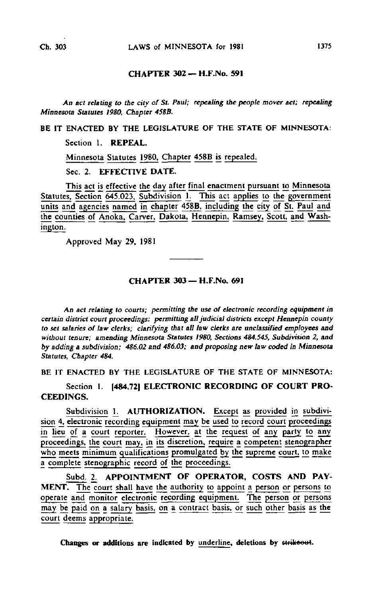## CHAPTER 302— H.F-No. 591

An act relating to the city of St. Paul; repealing the people mover act; repealing Minnesota Statutes 1980, Chapter 458B.

BE IT ENACTED BY THE LEGISLATURE OF THE STATE OF MINNESOTA:

Section 1. REPEAL.

Minnesota Statutes |980. Chapter 458B is repealed.

Sec. 2. EFFECTIVE DATE.

This act is effective the day after final enactment pursuant to Minnesota Statutes, Section 645.023, Subdivision 1. This act applies to the government units and agencies named in chapter 458B, including the city of St. Paul and the counties of Anoka, Carver, Dakota, Hennepin, Ramsey. Scott, and Washington.

Approved May 29, 1981

## CHAPTER 303 — H.F.No. 691

An act relating to courts; permitting the use of electronic recording equipment in certain district court proceedings; permitting all judicial districts except Hennepin county to set salaries of law clerks; clarifying that all law clerks are unclassified employees and without tenure; amending Minnesota Statutes 1980, Sections 484.545, Subdivision 2, and by adding a subdivision; 486.02 and 486.03; and proposing new law coded in Minnesota Statutes, Chapter 484.

BE IT ENACTED BY THE LEGISLATURE OF THE STATE OF MINNESOTA:

Section 1. [484.72] ELECTRONIC RECORDING OF COURT PRO-CEEDINGS.

Subdivision 1. AUTHORIZATION. Except as provided in subdivision 4, electronic recording equipment may be used to record court proceedings in lieu of a court reporter. However, at the request of any party to any proceedings, the court may, in its discretion, require a competent stenographer who meets minimum qualifications promulgated by the supreme court, to make a complete stenographic record of the proceedings.

Subd. 2. APPOINTMENT OF OPERATOR, COSTS AND PAY-MENT. The court shall have the authority to appoint a person or persons to operate and monitor electronic recording equipment. The person or persons may be paid on a salary basis, on a contract basis, or such other basis as the court deems appropriate.

Changes or additions are indicated by underline, deletions by strikeout.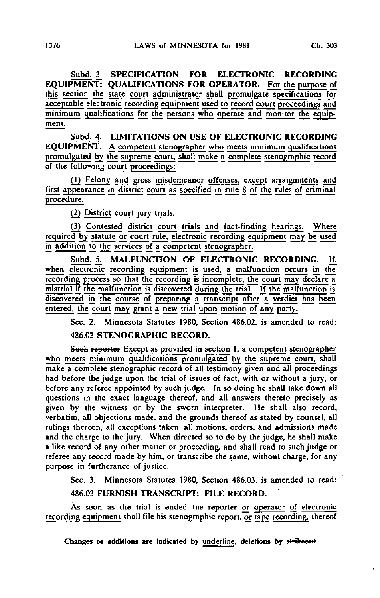Subd. 3. SPECIFICATION FOR ELECTRONIC RECORDING EQUIPMENT; QUALIFICATIONS FOR OPERATOR. For the purpose of this section the state court administrator shall promulgate specifications for acceptable electronic recording equipment used to record court proceedings and minimum qualifications for the persons who operate and monitor the equipment.

Subd. 4. LIMITATIONS ON USE OF ELECTRONIC RECORDING EQUIPMENT. A competent stenographer who meets minimum qualifications promulgated by the supreme court, shall make a complete stenographic record of the following court proceedings:

(1) Felony and gross misdemeanor ofjenses, except arraignments and first appearance in district court as specified in rule 8 of the rules of criminal procedure.

(2) District court jury trials.

(3) Contested district court trials and fact-finding hearings. Where required by statute or court rule, electronic recording equipment may be used in addition to the services of a competent stenographer.

Subd. 5. MALFUNCTION OF ELECTRONIC RECORDING. If, when electronic recording equipment is used, a malfunction occurs in the recording process so that the recording is incomplete, the court may declare a mistrial if the malfunction is discovered during the trial. If the malfunction is discovered in the course of preparing a transcript after a verdict has been entered, the court may grant a new trial upon motion of any party.

Sec. 2. Minnesota Statutes 1980, Section 486.02, is amended to read:

## 486.02 STENOGRAPHIC RECORD.

Such reporter Except as provided in section 1, a competent stenographer who meets minimum qualifications promulgated by the supreme court, shall make a complete stenographic record of all testimony given and all proceedings had before the judge upon the trial of issues of fact, with or without a jury, or before any referee appointed by such judge. In so doing he shall take down all questions in the exact language thereof, and all answers thereto precisely as given by the witness or by the sworn interpreter. He shall also record, verbatim, all objections made, and the grounds thereof as stated by counsel, all rulings thereon, all exceptions taken, all motions, orders, and admissions made and the charge to the jury. When directed so to do by the judge, he shall make a like record of any other matter or proceeding, and shall read to such judge or referee any record made by him, or transcribe the same, without charge, for any purpose in furtherance of justice.

Sec. 3. Minnesota Statutes 1980, Section 486.03, is amended to read:

486.03 FURNISH TRANSCRIPT; FILE RECORD.

As soon as the trial is ended the reporter or operator of electronic recording equipment shall file his stenographic report, or tape recording, thereof

Changes or additions are indicated by underline, deletions by strikeout